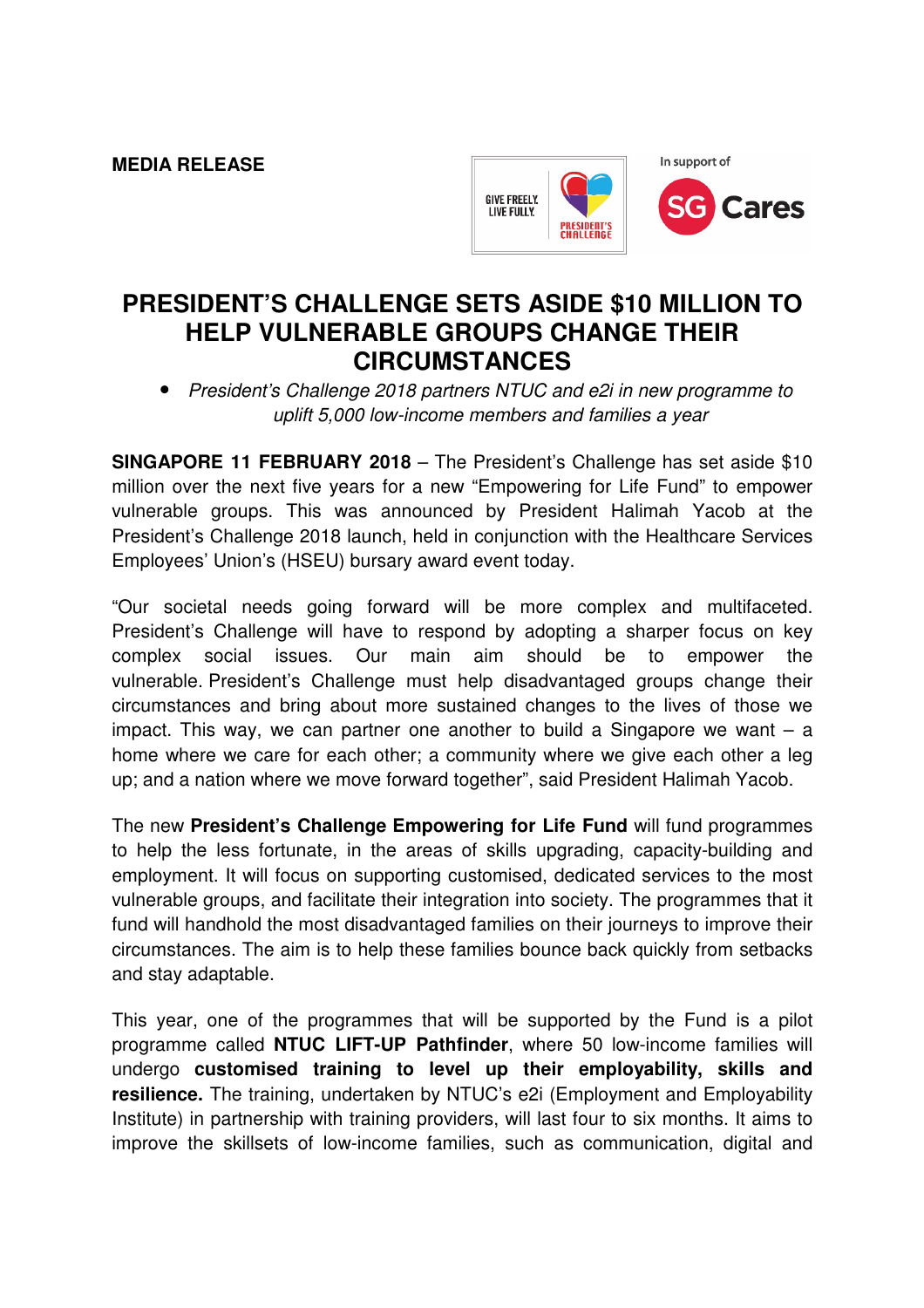**MEDIA RELEASE** 



## **PRESIDENT'S CHALLENGE SETS ASIDE \$10 MILLION TO HELP VULNERABLE GROUPS CHANGE THEIR CIRCUMSTANCES**

• President's Challenge 2018 partners NTUC and e2i in new programme to uplift 5,000 low-income members and families a year

**SINGAPORE 11 FEBRUARY 2018** – The President's Challenge has set aside \$10 million over the next five years for a new "Empowering for Life Fund" to empower vulnerable groups. This was announced by President Halimah Yacob at the President's Challenge 2018 launch, held in conjunction with the Healthcare Services Employees' Union's (HSEU) bursary award event today.

"Our societal needs going forward will be more complex and multifaceted. President's Challenge will have to respond by adopting a sharper focus on key complex social issues. Our main aim should be to empower the vulnerable. President's Challenge must help disadvantaged groups change their circumstances and bring about more sustained changes to the lives of those we impact. This way, we can partner one another to build a Singapore we want  $-$  a home where we care for each other; a community where we give each other a leg up; and a nation where we move forward together", said President Halimah Yacob.

The new **President's Challenge Empowering for Life Fund** will fund programmes to help the less fortunate, in the areas of skills upgrading, capacity-building and employment. It will focus on supporting customised, dedicated services to the most vulnerable groups, and facilitate their integration into society. The programmes that it fund will handhold the most disadvantaged families on their journeys to improve their circumstances. The aim is to help these families bounce back quickly from setbacks and stay adaptable.

This year, one of the programmes that will be supported by the Fund is a pilot programme called **NTUC LIFT-UP Pathfinder**, where 50 low-income families will undergo **customised training to level up their employability, skills and resilience.** The training, undertaken by NTUC's e2i (Employment and Employability Institute) in partnership with training providers, will last four to six months. It aims to improve the skillsets of low-income families, such as communication, digital and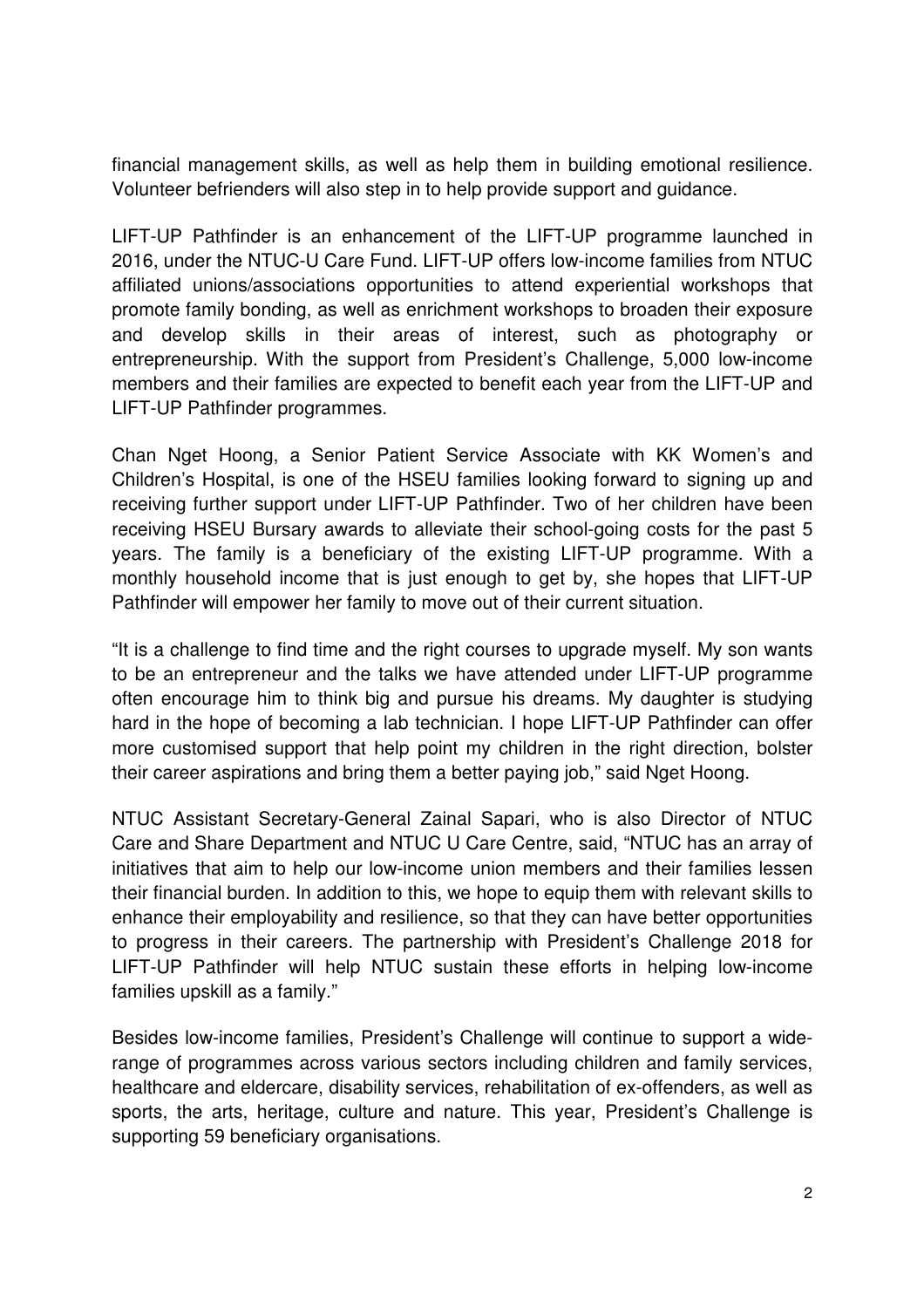financial management skills, as well as help them in building emotional resilience. Volunteer befrienders will also step in to help provide support and guidance.

LIFT-UP Pathfinder is an enhancement of the LIFT-UP programme launched in 2016, under the NTUC-U Care Fund. LIFT-UP offers low-income families from NTUC affiliated unions/associations opportunities to attend experiential workshops that promote family bonding, as well as enrichment workshops to broaden their exposure and develop skills in their areas of interest, such as photography or entrepreneurship. With the support from President's Challenge, 5,000 low-income members and their families are expected to benefit each year from the LIFT-UP and LIFT-UP Pathfinder programmes.

Chan Nget Hoong, a Senior Patient Service Associate with KK Women's and Children's Hospital, is one of the HSEU families looking forward to signing up and receiving further support under LIFT-UP Pathfinder. Two of her children have been receiving HSEU Bursary awards to alleviate their school-going costs for the past 5 years. The family is a beneficiary of the existing LIFT-UP programme. With a monthly household income that is just enough to get by, she hopes that LIFT-UP Pathfinder will empower her family to move out of their current situation.

"It is a challenge to find time and the right courses to upgrade myself. My son wants to be an entrepreneur and the talks we have attended under LIFT-UP programme often encourage him to think big and pursue his dreams. My daughter is studying hard in the hope of becoming a lab technician. I hope LIFT-UP Pathfinder can offer more customised support that help point my children in the right direction, bolster their career aspirations and bring them a better paying job," said Nget Hoong.

NTUC Assistant Secretary-General Zainal Sapari, who is also Director of NTUC Care and Share Department and NTUC U Care Centre, said, "NTUC has an array of initiatives that aim to help our low-income union members and their families lessen their financial burden. In addition to this, we hope to equip them with relevant skills to enhance their employability and resilience, so that they can have better opportunities to progress in their careers. The partnership with President's Challenge 2018 for LIFT-UP Pathfinder will help NTUC sustain these efforts in helping low-income families upskill as a family."

Besides low-income families, President's Challenge will continue to support a widerange of programmes across various sectors including children and family services, healthcare and eldercare, disability services, rehabilitation of ex-offenders, as well as sports, the arts, heritage, culture and nature. This year, President's Challenge is supporting 59 beneficiary organisations.